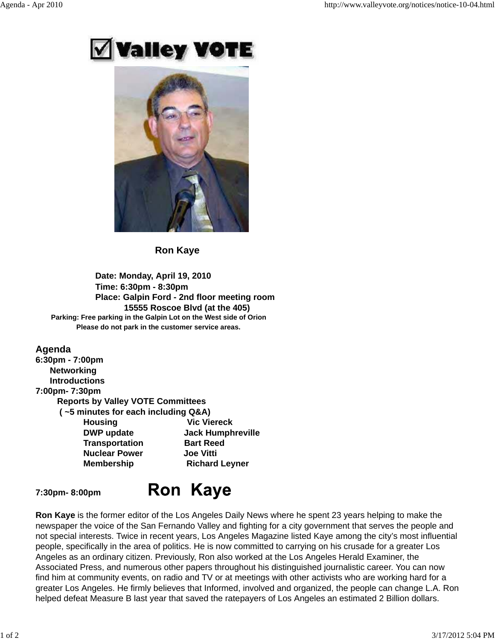# Valley VOT



 **Ron Kaye**

### **Date: Monday, April 19, 2010 Time: 6:30pm - 8:30pm Place: Galpin Ford - 2nd floor meeting room 15555 Roscoe Blvd (at the 405) Parking: Free parking in the Galpin Lot on the West side of Orion Please do not park in the customer service areas.**

### **Agenda 6:30pm - 7:00pm Networking Introductions 7:00pm- 7:30pm Reports by Valley VOTE Committees ( ~5 minutes for each including Q&A) Housing Wic Viereck DWP update Jack Humphreville Transportation Bart Reed Nuclear Power Joe Vitti Membership Richard Leyner**

### **7:30pm- 8:00pm**

## **Ron Kaye**

**Ron Kaye** is the former editor of the Los Angeles Daily News where he spent 23 years helping to make the newspaper the voice of the San Fernando Valley and fighting for a city government that serves the people and not special interests. Twice in recent years, Los Angeles Magazine listed Kaye among the city's most influential people, specifically in the area of politics. He is now committed to carrying on his crusade for a greater Los Angeles as an ordinary citizen. Previously, Ron also worked at the Los Angeles Herald Examiner, the Associated Press, and numerous other papers throughout his distinguished journalistic career. You can now find him at community events, on radio and TV or at meetings with other activists who are working hard for a greater Los Angeles. He firmly believes that Informed, involved and organized, the people can change L.A. Ron helped defeat Measure B last year that saved the ratepayers of Los Angeles an estimated 2 Billion dollars.